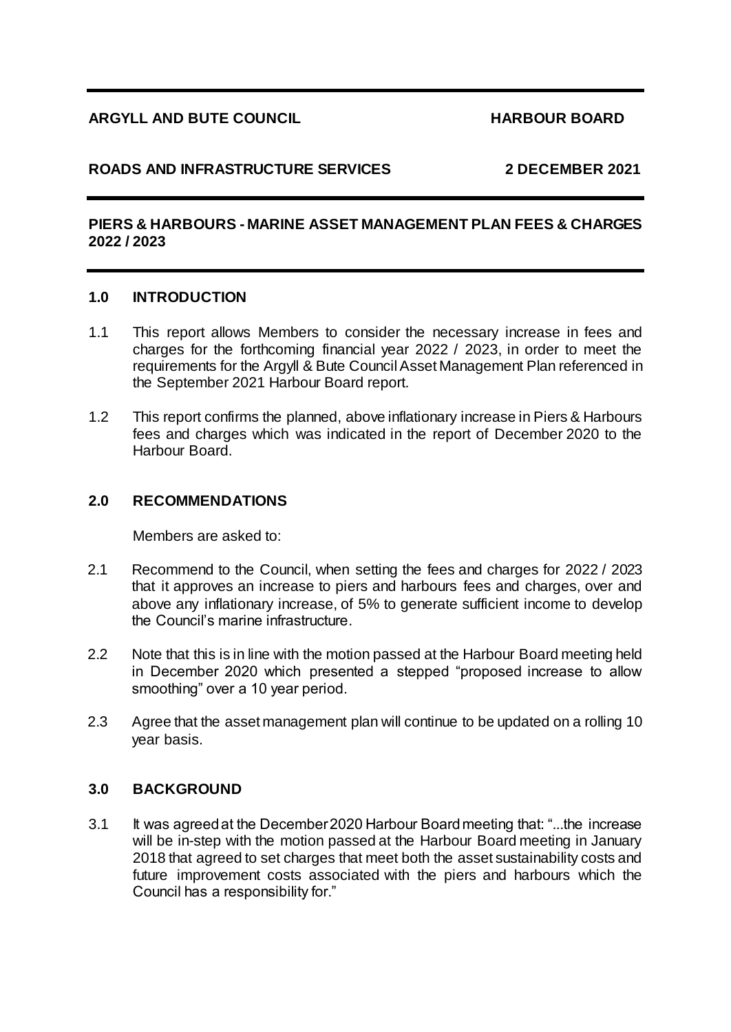# **ARGYLL AND BUTE COUNCIL HARBOUR BOARD**

# **ROADS AND INFRASTRUCTURE SERVICES 2 DECEMBER 2021**

# **PIERS & HARBOURS - MARINE ASSET MANAGEMENT PLAN FEES & CHARGES 2022 / 2023**

### **1.0 INTRODUCTION**

- 1.1 This report allows Members to consider the necessary increase in fees and charges for the forthcoming financial year 2022 / 2023, in order to meet the requirements for the Argyll & Bute Council Asset Management Plan referenced in the September 2021 Harbour Board report.
- 1.2 This report confirms the planned, above inflationary increase in Piers & Harbours fees and charges which was indicated in the report of December 2020 to the Harbour Board.

### **2.0 RECOMMENDATIONS**

Members are asked to:

- 2.1 Recommend to the Council, when setting the fees and charges for 2022 / 2023 that it approves an increase to piers and harbours fees and charges, over and above any inflationary increase, of 5% to generate sufficient income to develop the Council's marine infrastructure.
- 2.2 Note that this is in line with the motion passed at the Harbour Board meeting held in December 2020 which presented a stepped "proposed increase to allow smoothing" over a 10 year period.
- 2.3 Agree that the asset management plan will continue to be updated on a rolling 10 year basis.

# **3.0 BACKGROUND**

3.1 It was agreed at the December 2020 Harbour Board meeting that: "...the increase will be in-step with the motion passed at the Harbour Board meeting in January 2018 that agreed to set charges that meet both the asset sustainability costs and future improvement costs associated with the piers and harbours which the Council has a responsibility for."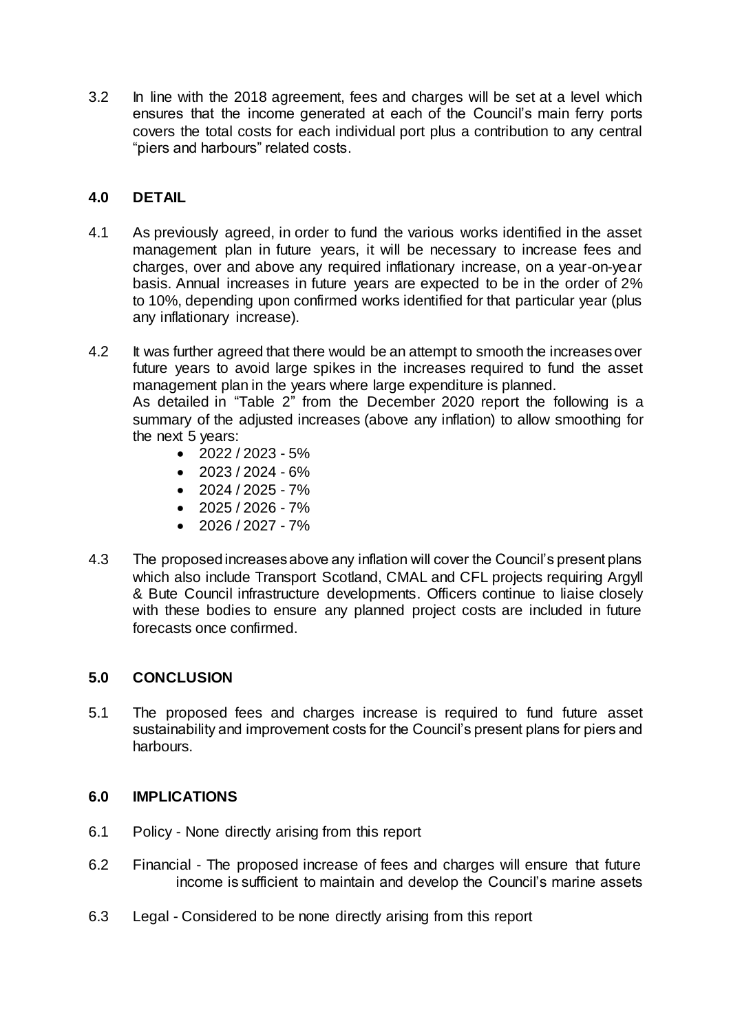3.2 In line with the 2018 agreement, fees and charges will be set at a level which ensures that the income generated at each of the Council's main ferry ports covers the total costs for each individual port plus a contribution to any central "piers and harbours" related costs.

# **4.0 DETAIL**

- 4.1 As previously agreed, in order to fund the various works identified in the asset management plan in future years, it will be necessary to increase fees and charges, over and above any required inflationary increase, on a year-on-year basis. Annual increases in future years are expected to be in the order of 2% to 10%, depending upon confirmed works identified for that particular year (plus any inflationary increase).
- 4.2 It was further agreed that there would be an attempt to smooth the increases over future years to avoid large spikes in the increases required to fund the asset management plan in the years where large expenditure is planned. As detailed in "Table 2" from the December 2020 report the following is a summary of the adjusted increases (above any inflation) to allow smoothing for the next 5 years:
	- $\bullet$  2022 / 2023 5%
	- $\bullet$  2023 / 2024 6%
	- $\bullet$  2024 / 2025 7%
	- $\bullet$  2025 / 2026 7%
	- $\bullet$  2026 / 2027 7%
- 4.3 The proposed increases above any inflation will cover the Council's present plans which also include Transport Scotland, CMAL and CFL projects requiring Argyll & Bute Council infrastructure developments. Officers continue to liaise closely with these bodies to ensure any planned project costs are included in future forecasts once confirmed.

# **5.0 CONCLUSION**

5.1 The proposed fees and charges increase is required to fund future asset sustainability and improvement costs for the Council's present plans for piers and harbours.

# **6.0 IMPLICATIONS**

- 6.1 Policy None directly arising from this report
- 6.2 Financial The proposed increase of fees and charges will ensure that future income is sufficient to maintain and develop the Council's marine assets
- 6.3 Legal Considered to be none directly arising from this report